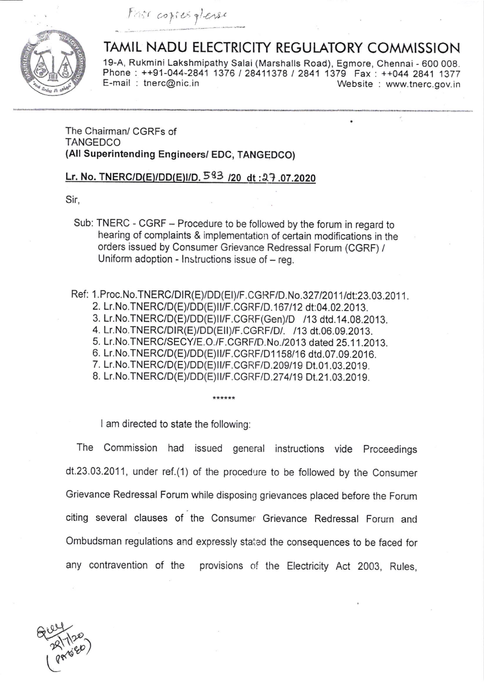Fast copies glease



## TAMIL NADU ELECTRICITY REGULATORY COMMISSION

19-A, Rukmini Lakshmipathy Salai (Marshalls Road), Egmore, Chennai - 600 008. Phone : ++91-044-2841 1376 / 28411378 / 2841 1379 Fax : ++044 2841 1377 E-mail : there on the thing of the term is the term is the term is the term is the term is the term is the term is the U.S. entering the term is the term is the term is the term is the term is the term is the term is the t

## The Chairman/ CGRFs of **TANGEDCO** (All Superintending Engineers/ EDC, TANGEDCO)

## Lr. No. TNERC/D(E)/DD(E)I/D.  $583$  /20 dt: 27.07.2020

Sir,

Sub: TNERC - CGRF - Procedure to be followed by the forum in regard to hearing of complaints & implementation of certain modifications in the orders issued by Consumer Grievance Redressal Forum (CGRF) / Uniform adoption - Instructions issue of - reg.

Ref: 1.Proc.No.TNERC/DIR(E)/DD(EI)/F.CGRF/D.No.327/2011/dt:23.03.2011. 2. Lr.No.TNERC/D(E)/DD(E)II/F.CGRF/D.167/12 dt:04.02.2013. 3. Lr.No.TNERC/D(E)/DD(E)II/F.CGRF(Gen)/D /13 dtd.14.08.2013. 4. LT.No.TNERC/DlR(EyDD(EllyF.CGRF/D/. /13 dt.06.09.2013. 5. Lr.No.TNERC/SECY/E.O./F.CGRF/D.No./2013 dated 25.11.2013. 6. LT.No.TNERC/D(EyDD(E)ll/F.CGRF/D1 158/16 dtd.07.09.2016. 7. Lr. No. TNERC/D(E)/DD(E)II/F.CGRF/D. 209/19 Dt.01.03.2019. 8. Lr.No.TNERC/D(E)/DD(E)II/F.CGRF/D.274/19 Dt.21.03.2019.

I am directed to state the following:

The Commission had issued general instructions vide Proceedings dt.23.03.2011, under ref.(1) of the procedure to be followed by the Consumer Grievance Redressal Forum while disposing grievances placed before the Forum citing several clauses of the Consumer Grievance Redressal Forum and Ombudsman regulations and expressly staied the consequences to be faced for any contravention of the provisions of the Electricity Act 2003, Rules,

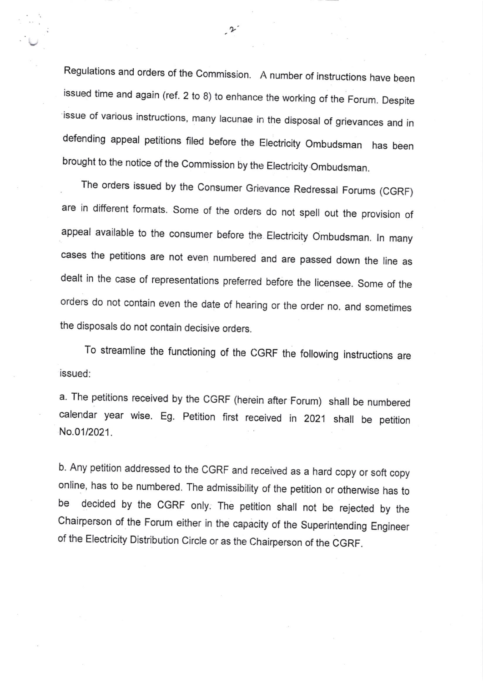Regulations and orders of the commission. A number of instructions have been issued time and again (ref. 2 to 8) to enhance the working of the Forum. Despite issue of various instructions, many lacunae in the disposal of grievances and in defending appeal petitions filed before the Electricity Ombudsman has been brought to the notice of the Commission by the Electricity Ombudsman.

 $\cdot$ 

The orders issued by the Consumer Grievance Redressal Forums (CGRF) are in different formats. Some of the orders do not spell out the provision of appeal available to the consumer before the Electricity Ombudsman. In many cases the petitions are not even numbered and are passed down the line as dealt in the case of representations preferred before the licensee. some of the orders do not contain even the date of hearing or the order no. and sometimes the disposals do not contain decisive orders.

To streamline the functioning of the CGRF the following instructions are issued:

a. The petitions received by the CGRF (herein after Forum) shall be numbered calendar year wise. Eg. petition first received in <sup>2021</sup> shall be petition No.01/2021.

b. Any petition addressed to the CGRF and received as a hard copy or soft copy online, has to be numbered. The admissibility of the petition or otherwise has to be decided by the CGRF only: The petition shall not be rejected by the chairperson of the Forum either in the capacity of the superintending Engineer of the Electricity Distribution Circle or as the Chairperson of the CGRF.